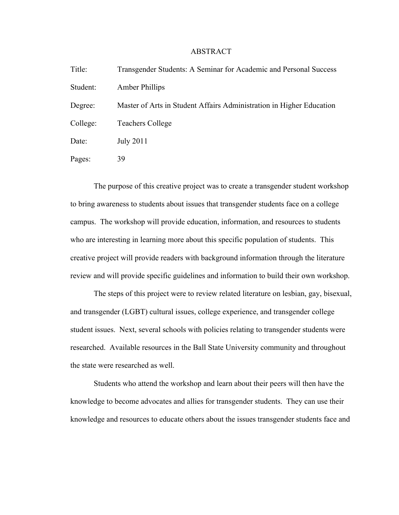## ABSTRACT

| Title:   | Transgender Students: A Seminar for Academic and Personal Success    |
|----------|----------------------------------------------------------------------|
| Student: | Amber Phillips                                                       |
| Degree:  | Master of Arts in Student Affairs Administration in Higher Education |
| College: | <b>Teachers College</b>                                              |
| Date:    | <b>July 2011</b>                                                     |
| Pages:   | 39                                                                   |

The purpose of this creative project was to create a transgender student workshop to bring awareness to students about issues that transgender students face on a college campus. The workshop will provide education, information, and resources to students who are interesting in learning more about this specific population of students. This creative project will provide readers with background information through the literature review and will provide specific guidelines and information to build their own workshop.

The steps of this project were to review related literature on lesbian, gay, bisexual, and transgender (LGBT) cultural issues, college experience, and transgender college student issues. Next, several schools with policies relating to transgender students were researched. Available resources in the Ball State University community and throughout the state were researched as well.

Students who attend the workshop and learn about their peers will then have the knowledge to become advocates and allies for transgender students. They can use their knowledge and resources to educate others about the issues transgender students face and